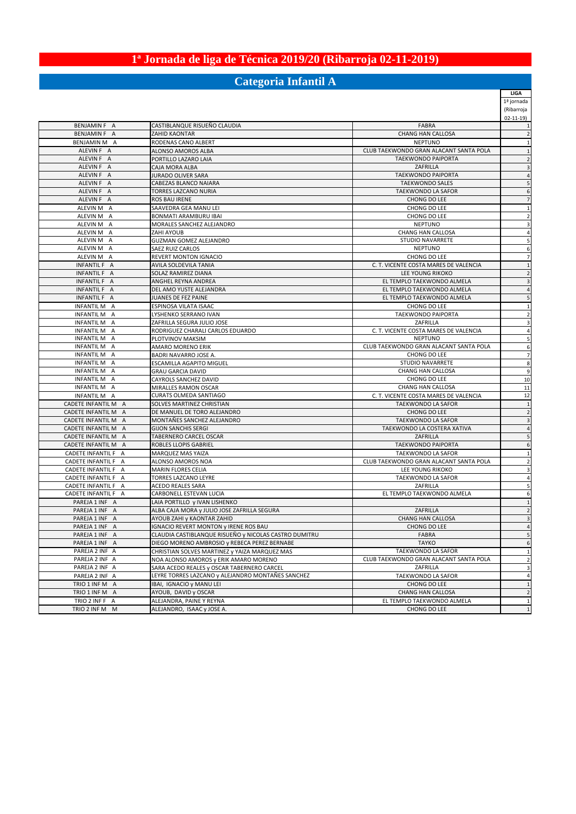# **1ª Jornada de liga de Técnica 2019/20 (Ribarroja 02-11-2019)**

## **Categoria Infantil A**

**LIGA**

|                              |                                                          |                                                                   | 1ª jornada     |
|------------------------------|----------------------------------------------------------|-------------------------------------------------------------------|----------------|
|                              |                                                          |                                                                   | (Ribarroja     |
|                              |                                                          |                                                                   | $02 - 11 - 19$ |
| BENJAMIN F A                 | CASTIBLANQUE RISUEÑO CLAUDIA<br>ZAHID KAONTAR            | FABRA                                                             |                |
| BENJAMIN F A                 | RODENAS CANO ALBERT                                      | <b>CHANG HAN CALLOSA</b><br><b>NEPTUNO</b>                        |                |
| BENJAMIN M A<br>ALEVIN F A   | ALONSO AMOROS ALBA                                       | CLUB TAEKWONDO GRAN ALACANT SANTA POLA                            |                |
| ALEVIN F A                   | PORTILLO LAZARO LAIA                                     | <b>TAEKWONDO PAIPORTA</b>                                         |                |
| ALEVIN F A                   | CAJA MORA ALBA                                           | ZAFRILLA                                                          |                |
| ALEVIN F A                   | JURADO OLIVER SARA                                       | TAEKWONDO PAIPORTA                                                |                |
| ALEVIN F A                   | CABEZAS BLANCO NAIARA                                    | <b>TAEKWONDO SALES</b>                                            |                |
| ALEVIN F A                   | TORRES LAZCANO NURIA                                     | TAEKWONDO LA SAFOR                                                |                |
| ALEVIN F A                   | ROS BAU IRENE                                            | CHONG DO LEE                                                      |                |
| ALEVIN M A                   | SAAVEDRA GEA MANU LEI                                    | CHONG DO LEE                                                      |                |
| ALEVIN M A                   | <b>BONMATI ARAMBURU IBAI</b>                             | CHONG DO LEE                                                      |                |
| ALEVIN M A                   | MORALES SANCHEZ ALEJANDRO                                | <b>NEPTUNO</b>                                                    |                |
| ALEVIN M A                   | ZAHI AYOUB                                               | <b>CHANG HAN CALLOSA</b>                                          |                |
| ALEVIN M A                   | <b>GUZMAN GOMEZ ALEJANDRO</b>                            | <b>STUDIO NAVARRETE</b>                                           |                |
| ALEVIN M A                   | SAEZ RUIZ CARLOS                                         | <b>NEPTUNO</b>                                                    |                |
| ALEVIN M A                   | REVERT MONTON IGNACIO                                    | CHONG DO LEE                                                      |                |
| INFANTIL F A                 | AVILA SOLDEVILA TANIA                                    | C. T. VICENTE COSTA MARES DE VALENCIA                             |                |
| INFANTIL F A                 | SOLAZ RAMIREZ DIANA                                      | LEE YOUNG RIKOKO                                                  |                |
| INFANTIL F A                 | ANGHEL REYNA ANDREA                                      | EL TEMPLO TAEKWONDO ALMELA                                        |                |
| INFANTIL F A                 | DEL AMO YUSTE ALEJANDRA                                  | EL TEMPLO TAEKWONDO ALMELA                                        |                |
| INFANTIL F A                 | JUANES DE FEZ PAINE                                      | EL TEMPLO TAEKWONDO ALMELA                                        |                |
| INFANTIL M A                 | ESPINOSA VILATA ISAAC                                    | CHONG DO LEE                                                      |                |
| INFANTIL M A                 | LYSHENKO SERRANO IVAN                                    | TAEKWONDO PAIPORTA                                                |                |
| INFANTIL M A                 | ZAFRILLA SEGURA JULIO JOSE                               | ZAFRILLA                                                          |                |
| INFANTIL M A                 | RODRIGUEZ CHARALI CARLOS EDUARDO                         | C. T. VICENTE COSTA MARES DE VALENCIA                             |                |
| <b>INFANTIL M A</b>          | PLOTVINOV MAKSIM                                         | <b>NEPTUNO</b>                                                    |                |
| INFANTIL M A                 | AMARO MORENO ERIK                                        | CLUB TAEKWONDO GRAN ALACANT SANTA POLA                            |                |
| INFANTIL M A                 | BADRI NAVARRO JOSE A.                                    | CHONG DO LEE                                                      |                |
| INFANTIL M A                 | <b>ESCAMILLA AGAPITO MIGUEL</b>                          | <b>STUDIO NAVARRETE</b>                                           |                |
| <b>INFANTIL M A</b>          | <b>GRAU GARCIA DAVID</b>                                 | <b>CHANG HAN CALLOSA</b>                                          |                |
| INFANTIL M A                 | CAYROLS SANCHEZ DAVID                                    | CHONG DO LEE                                                      | 10             |
| INFANTIL M A<br>INFANTIL M A | MIRALLES RAMON OSCAR                                     | <b>CHANG HAN CALLOSA</b><br>C. T. VICENTE COSTA MARES DE VALENCIA | 11             |
| CADETE INFANTIL M A          | CURATS OLMEDA SANTIAGO                                   | <b>TAEKWONDO LA SAFOR</b>                                         | 12             |
| CADETE INFANTIL M A          | SOLVES MARTINEZ CHRISTIAN<br>DE MANUEL DE TORO ALEJANDRO | CHONG DO LEE                                                      |                |
| CADETE INFANTIL M A          | MONTAÑES SANCHEZ ALEJANDRO                               | TAEKWONDO LA SAFOR                                                |                |
| CADETE INFANTIL M A          | <b>GIJON SANCHIS SERGI</b>                               | TAEKWONDO LA COSTERA XATIVA                                       |                |
| CADETE INFANTIL M A          | TABERNERO CARCEL OSCAR                                   | ZAFRILLA                                                          |                |
| CADETE INFANTIL M A          | ROBLES LLOPIS GABRIEL                                    | <b>TAEKWONDO PAIPORTA</b>                                         |                |
| CADETE INFANTIL F A          | MARQUEZ MAS YAIZA                                        | TAEKWONDO LA SAFOR                                                |                |
| CADETE INFANTIL F A          | ALONSO AMOROS NOA                                        | CLUB TAEKWONDO GRAN ALACANT SANTA POLA                            |                |
| CADETE INFANTIL F A          | MARIN FLORES CELIA                                       | LEE YOUNG RIKOKO                                                  |                |
| CADETE INFANTIL F A          | TORRES LAZCANO LEYRE                                     | TAEKWONDO LA SAFOR                                                |                |
| CADETE INFANTIL F A          | ACEDO REALES SARA                                        | ZAFRILLA                                                          |                |
| CADETE INFANTIL F A          | CARBONELL ESTEVAN LUCIA                                  | EL TEMPLO TAEKWONDO ALMELA                                        |                |
| PAREJA 1 INF A               | LAIA PORTILLO y IVAN LISHENKO                            |                                                                   |                |
| PAREJA 1 INF A               | ALBA CAJA MORA y JULIO JOSE ZAFRILLA SEGURA              | ZAFRILLA                                                          |                |
| PAREJA 1 INF A               | AYOUB ZAHI y KAONTAR ZAHID                               | <b>CHANG HAN CALLOSA</b>                                          |                |
| PAREJA 1 INF A               | <b>IGNACIO REVERT MONTON y IRENE ROS BAU</b>             | CHONG DO LEE                                                      |                |
| PAREJA 1 INF A               | CLAUDIA CASTIBLANQUE RISUENO y NICOLAS CASTRO DUMITRU    | FABRA                                                             |                |
| PAREJA 1 INF A               | DIEGO MORENO AMBROSIO y REBECA PEREZ BERNABE             | <b>TAYKO</b>                                                      | $\epsilon$     |
| PAREJA 2 INF A               | CHRISTIAN SOLVES MARTINEZ y YAIZA MARQUEZ MAS            | TAEKWONDO LA SAFOR                                                |                |
| PAREJA 2 INF A               | NOA ALONSO AMOROS y ERIK AMARO MORENO                    | CLUB TAEKWONDO GRAN ALACANT SANTA POLA                            |                |
| PAREJA 2 INF A               | SARA ACEDO REALES y OSCAR TABERNERO CARCEL               | ZAFRILLA                                                          |                |
| PAREJA 2 INF A               | LEYRE TORRES LAZCANO y ALEJANDRO MONTAÑES SANCHEZ        | TAEKWONDO LA SAFOR                                                |                |
| TRIO 1 INF M A               | IBAI, IGNACIO y MANU LEI                                 | CHONG DO LEE                                                      |                |
| TRIO 1 INF M A               | AYOUB, DAVID y OSCAR                                     | <b>CHANG HAN CALLOSA</b>                                          |                |
| TRIO 2 INF F A               | ALEJANDRA, PAINE Y REYNA                                 | EL TEMPLO TAEKWONDO ALMELA                                        |                |
| TRIO 2 INF M M               | ALEJANDRO, ISAAC y JOSE A.                               | CHONG DO LEE                                                      |                |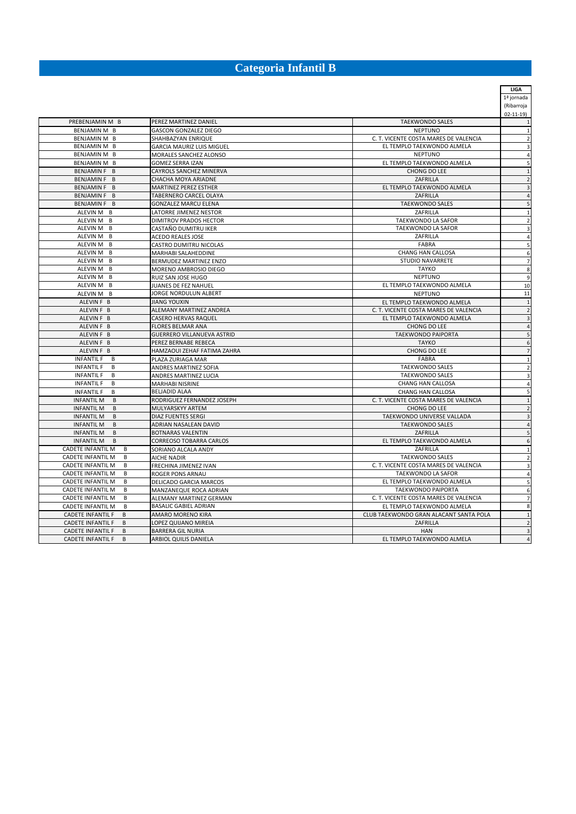## **Categoria Infantil B**

**LIGA**

|                                     |                                  |                                        | 1ª jornada<br>(Ribarroja |
|-------------------------------------|----------------------------------|----------------------------------------|--------------------------|
|                                     |                                  |                                        | $02 - 11 - 19$           |
| PREBENJAMIN M B                     | PEREZ MARTINEZ DANIEL            | <b>TAEKWONDO SALES</b>                 |                          |
| BENJAMIN M B                        | <b>GASCON GONZALEZ DIEGO</b>     | <b>NEPTUNO</b>                         | $\mathbf{1}$             |
| BENJAMIN M B                        | SHAHBAZYAN ENRIQUE               | C. T. VICENTE COSTA MARES DE VALENCIA  | $\overline{2}$           |
| BENJAMIN M B                        | <b>GARCIA MAURIZ LUIS MIGUEL</b> | EL TEMPLO TAEKWONDO ALMELA             | 3                        |
| BENJAMIN M B                        | MORALES SANCHEZ ALONSO           | <b>NEPTUNO</b>                         | 4                        |
| BENJAMIN M B                        | <b>GOMEZ SERRA IZAN</b>          | EL TEMPLO TAEKWONDO ALMELA             | 5                        |
| BENJAMIN F B                        | CAYROLS SANCHEZ MINERVA          | CHONG DO LEE                           | $\overline{1}$           |
| BENJAMIN F B                        | CHACHA MOYA ARIADNE              | ZAFRILLA                               | $\overline{2}$           |
| BENJAMIN F B                        | <b>MARTINEZ PEREZ ESTHER</b>     | EL TEMPLO TAEKWONDO ALMELA             | 3                        |
| BENJAMIN F B                        | TABERNERO CARCEL OLAYA           | ZAFRILLA                               | $\overline{4}$           |
| BENJAMIN F B                        | <b>GONZALEZ MARCU ELENA</b>      | <b>TAEKWONDO SALES</b>                 | 5                        |
| ALEVIN M B                          | LATORRE JIMENEZ NESTOR           | ZAFRILLA                               | $\mathbf{1}$             |
| ALEVIN M B                          | <b>DIMITROV PRADOS HECTOR</b>    | TAEKWONDO LA SAFOR                     | $\overline{\mathbf{c}}$  |
| ALEVIN M B                          | CASTAÑO DUMITRU IKER             | TAEKWONDO LA SAFOR                     | 3                        |
| ALEVIN M B                          | <b>ACEDO REALES JOSE</b>         | ZAFRILLA                               | 4                        |
| ALEVIN M B                          | CASTRO DUMITRU NICOLAS           | FABRA                                  | 5                        |
| ALEVIN M B                          | MARHABI SALAHEDDINE              | CHANG HAN CALLOSA                      | 6                        |
| ALEVIN M B                          | BERMUDEZ MARTINEZ ENZO           | <b>STUDIO NAVARRETE</b>                | 7                        |
| ALEVIN M B                          | MORENO AMBROSIO DIEGO            | <b>TAYKO</b>                           | 8                        |
| ALEVIN M B                          | RUIZ SAN JOSE HUGO               | <b>NEPTUNO</b>                         | g                        |
| ALEVIN M B                          | JUANES DE FEZ NAHUEL             | EL TEMPLO TAEKWONDO ALMELA             | 10                       |
| ALEVIN M B                          | JORGE NORDULUN ALBERT            | <b>NEPTUNO</b>                         | 11                       |
| ALEVIN F B                          | <b>JIANG YOUXIN</b>              | EL TEMPLO TAEKWONDO ALMELA             | $\overline{1}$           |
| ALEVIN F B                          | ALEMANY MARTINEZ ANDREA          | C. T. VICENTE COSTA MARES DE VALENCIA  | $\overline{2}$           |
| ALEVIN F B                          | <b>CASERO HERVAS RAQUEL</b>      | EL TEMPLO TAEKWONDO ALMELA             | 3                        |
| ALEVIN F B                          | <b>FLORES BELMAR ANA</b>         | CHONG DO LEE                           | $\overline{4}$           |
| ALEVIN F B                          | GUERRERO VILLANUEVA ASTRID       | <b>TAEKWONDO PAIPORTA</b>              | 5                        |
| ALEVIN F B                          | PEREZ BERNABE REBECA             | <b>TAYKO</b>                           | 6                        |
| ALEVIN F B                          | HAMZAOUI ZEHAF FATIMA ZAHRA      | CHONG DO LEE                           | $\overline{7}$           |
| <b>INFANTIL F</b><br>B              | PLAZA ZURIAGA MAR                | <b>FABRA</b>                           | $\mathbf{1}$             |
| <b>INFANTIL F</b><br>B.             | ANDRES MARTINEZ SOFIA            | <b>TAEKWONDO SALES</b>                 | $\overline{2}$           |
| <b>INFANTIL F</b><br>В              | ANDRES MARTINEZ LUCIA            | <b>TAEKWONDO SALES</b>                 | 3                        |
| <b>INFANTIL F</b><br>B              | <b>MARHABI NISRINE</b>           | <b>CHANG HAN CALLOSA</b>               | 4                        |
| <b>INFANTIL F</b><br>B              | <b>BELJADID ALAA</b>             | CHANG HAN CALLOSA                      | 5                        |
| <b>INFANTIL M</b><br>B              | RODRIGUEZ FERNANDEZ JOSEPH       | C. T. VICENTE COSTA MARES DE VALENCIA  | $\overline{1}$           |
| <b>INFANTIL M</b><br>B              | MULYARSKYY ARTEM                 | CHONG DO LEE                           | $\overline{2}$           |
| <b>INFANTIL M</b><br>$\overline{B}$ | <b>DIAZ FUENTES SERGI</b>        | TAEKWONDO UNIVERSE VALLADA             | $\overline{3}$           |
| <b>INFANTIL M</b><br>B              | ADRIAN NASALEAN DAVID            | <b>TAEKWONDO SALES</b>                 | $\overline{4}$           |
| <b>INFANTIL M</b><br>B              | <b>BOTNARAS VALENTIN</b>         | ZAFRILLA                               | 5                        |
| <b>INFANTIL M</b><br>B              | CORREOSO TOBARRA CARLOS          | EL TEMPLO TAEKWONDO ALMELA             | $\epsilon$               |
| <b>CADETE INFANTIL M</b><br>B       | SORIANO ALCALA ANDY              | ZAFRILLA                               | $\overline{1}$           |
| CADETE INFANTIL M<br>B              | <b>AICHE NADIR</b>               | <b>TAEKWONDO SALES</b>                 | $\overline{2}$           |
| CADETE INFANTIL M<br>B              | FRECHINA JIMENEZ IVAN            | C. T. VICENTE COSTA MARES DE VALENCIA  | 3                        |
| <b>CADETE INFANTIL M</b><br>B       | ROGER PONS ARNAU                 | TAEKWONDO LA SAFOR                     | 4                        |
| <b>CADETE INFANTIL M</b><br>B       | DELICADO GARCIA MARCOS           | EL TEMPLO TAEKWONDO ALMELA             | 5                        |
| <b>CADETE INFANTIL M</b><br>В       | MANZANEQUE ROCA ADRIAN           | TAEKWONDO PAIPORTA                     | $\epsilon$               |
| CADETE INFANTIL M<br>B              | ALEMANY MARTINEZ GERMAN          | C. T. VICENTE COSTA MARES DE VALENCIA  | 7                        |
| CADETE INFANTIL M<br>B              | BASALIC GABIEL ADRIAN            | EL TEMPLO TAEKWONDO ALMELA             | 8                        |
| <b>CADETE INFANTIL F</b><br>B       | AMARO MORENO KIRA                | CLUB TAEKWONDO GRAN ALACANT SANTA POLA | $\overline{1}$           |
| <b>CADETE INFANTIL F</b><br>B       | LOPEZ QUIJANO MIREIA             | ZAFRILLA                               | $\overline{2}$           |
| <b>CADETE INFANTIL F</b><br>B       | <b>BARRERA GIL NURIA</b>         | <b>HAN</b>                             | 3                        |
| <b>CADETE INFANTIL F</b><br>B       | ARBIOL QUILIS DANIELA            | EL TEMPLO TAEKWONDO ALMELA             | $\overline{a}$           |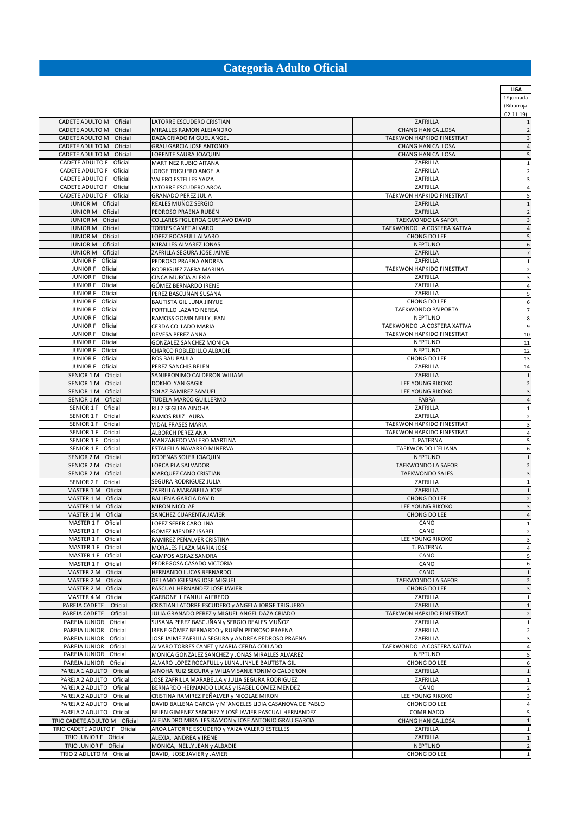## **Categoria Adulto Oficial**

|                                                    |                                                                                               |                                                       | LIGA                    |
|----------------------------------------------------|-----------------------------------------------------------------------------------------------|-------------------------------------------------------|-------------------------|
|                                                    |                                                                                               |                                                       | 1ª jornada              |
|                                                    |                                                                                               |                                                       | (Ribarroja              |
|                                                    |                                                                                               |                                                       | $02 - 11 - 19$          |
| CADETE ADULTO M Oficial                            | LATORRE ESCUDERO CRISTIAN                                                                     | ZAFRILLA                                              | $\mathbf{1}$            |
| CADETE ADULTO M Oficial                            | MIRALLES RAMON ALEJANDRO                                                                      | <b>CHANG HAN CALLOSA</b>                              | $\overline{2}$          |
| CADETE ADULTO M Oficial<br>CADETE ADULTO M Oficial | DAZA CRIADO MIGUEL ANGEL                                                                      | TAEKWON HAPKIDO FINESTRAT<br><b>CHANG HAN CALLOSA</b> | 3                       |
| CADETE ADULTO M Oficial                            | GRAU GARCIA JOSE ANTONIO<br>LORENTE SAURA JOAQUIN                                             | <b>CHANG HAN CALLOSA</b>                              | $\overline{4}$<br>5     |
| CADETE ADULTO F Oficial                            | MARTINEZ RUBIO AITANA                                                                         | ZAFRILLA                                              |                         |
| CADETE ADULTO F Oficial                            | JORGE TRIGUERO ANGELA                                                                         | ZAFRILLA                                              | 1<br>$\overline{2}$     |
| CADETE ADULTO F Oficial                            | VALERO ESTELLES YAIZA                                                                         | ZAFRILLA                                              | 3                       |
| CADETE ADULTO F Oficial                            | LATORRE ESCUDERO AROA                                                                         | ZAFRILLA                                              | $\overline{4}$          |
| CADETE ADULTO F Oficial                            | <b>GRANADO PEREZ JULIA</b>                                                                    | TAEKWON HAPKIDO FINESTRAT                             | 5                       |
| JUNIOR M Oficial                                   | REALES MUÑOZ SERGIO                                                                           | ZAFRILLA                                              | 1                       |
| JUNIOR M Oficial                                   | PEDROSO PRAENA RUBÉN                                                                          | ZAFRILLA                                              | $\overline{2}$          |
| JUNIOR M Oficial                                   | COLLARES FIGUEROA GUSTAVO DAVID                                                               | TAEKWONDO LA SAFOR                                    | 3                       |
| JUNIOR M Oficial                                   | TORRES CANET ALVARO                                                                           | TAEKWONDO LA COSTERA XATIVA                           | $\overline{a}$          |
| <b>JUNIOR M</b><br>Oficial                         | LOPEZ ROCAFULL ALVARO                                                                         | CHONG DO LEE                                          | 5                       |
| JUNIOR M Oficial                                   | MIRALLES ALVAREZ JONAS                                                                        | <b>NEPTUNO</b>                                        | 6                       |
| JUNIOR M Oficial                                   | ZAFRILLA SEGURA JOSE JAIME                                                                    | ZAFRILLA                                              | 7                       |
| JUNIOR F Oficial                                   | PEDROSO PRAENA ANDREA                                                                         | ZAFRILLA                                              | $\mathbf{1}$            |
| JUNIOR F Oficial                                   | RODRIGUEZ ZAFRA MARINA                                                                        | TAEKWON HAPKIDO FINESTRAT                             | $\overline{2}$          |
| JUNIOR F Oficial                                   | CINCA MURCIA ALEXIA                                                                           | ZAFRILLA                                              | 3                       |
| JUNIOR F Oficial<br>JUNIOR F Oficial               | GÓMEZ BERNARDO IRENE                                                                          | ZAFRILLA<br>ZAFRILLA                                  | 4                       |
| JUNIOR F Oficial                                   | PEREZ BASCUÑAN SUSANA<br>BAUTISTA GIL LUNA JINYUE                                             | CHONG DO LEE                                          | 5<br>6                  |
| JUNIOR F Oficial                                   | PORTILLO LAZARO NEREA                                                                         | TAEKWONDO PAIPORTA                                    | 7                       |
| JUNIOR F Oficial                                   | RAMOSS GOMN NELLY JEAN                                                                        | <b>NEPTUNO</b>                                        | 8                       |
| JUNIOR F Oficial                                   | CERDA COLLADO MARIA                                                                           | TAEKWONDO LA COSTERA XATIVA                           | 9                       |
| JUNIOR F Oficial                                   | DEVESA PEREZ ANNA                                                                             | TAEKWON HAPKIDO FINESTRAT                             | 10                      |
| JUNIOR F Oficial                                   | GONZALEZ SANCHEZ MONICA                                                                       | <b>NEPTUNO</b>                                        | 11                      |
| JUNIOR F Oficial                                   | CHARCO ROBLEDILLO ALBADIE                                                                     | <b>NEPTUNO</b>                                        | 12                      |
| JUNIOR F Oficial                                   | ROS BAU PAULA                                                                                 | CHONG DO LEE                                          | 13                      |
| JUNIOR F Oficial                                   | PEREZ SANCHIS BELEN                                                                           | ZAFRILLA                                              | 14                      |
| SENIOR 1 M Oficial                                 | SANJERONIMO CALDERON WILIAM                                                                   | ZAFRILLA                                              | $\mathbf{1}$            |
| SENIOR 1 M Oficial                                 | DOKHOLYAN GAGIK                                                                               | LEE YOUNG RIKOKO                                      | $\overline{2}$          |
| SENIOR 1 M Oficial                                 | SOLAZ RAMIREZ SAMUEL                                                                          | LEE YOUNG RIKOKO                                      | 3                       |
| SENIOR 1 M Oficial                                 | TUDELA MARCO GUILLERMO                                                                        | <b>FABRA</b>                                          | $\overline{4}$          |
| SENIOR 1 F Oficial                                 | RUIZ SEGURA AINOHA                                                                            | ZAFRILLA                                              | 1                       |
| SENIOR 1 F Oficial                                 | RAMOS RUIZ LAURA                                                                              | ZAFRILLA                                              | $\overline{2}$          |
| SENIOR 1 F Oficial                                 | <b>VIDAL FRASES MARIA</b>                                                                     | TAEKWON HAPKIDO FINESTRAT                             | 3                       |
| SENIOR 1 F Oficial                                 | ALBORCH PEREZ ANA                                                                             | TAEKWON HAPKIDO FINESTRAT                             | 4                       |
| SENIOR 1 F Oficial                                 | MANZANEDO VALERO MARTINA                                                                      | T. PATERNA                                            | 5                       |
| SENIOR 1 F Oficial<br>SENIOR 2 M Oficial           | ESTALELLA NAVARRO MINERVA                                                                     | TAEKWONDO L'ELIANA<br><b>NEPTUNO</b>                  | 6                       |
| SENIOR 2 M Oficial                                 | RODENAS SOLER JOAQUIN                                                                         | TAEKWONDO LA SAFOR                                    | 1                       |
| SENIOR 2 M Oficial                                 | LORCA PLA SALVADOR<br>MARQUEZ CANO CRISTIAN                                                   | <b>TAEKWONDO SALES</b>                                | 3                       |
| SENIOR 2 F Oficial                                 | SEGURA RODRIGUEZ JULIA                                                                        | ZAFRILLA                                              | $\mathbf{1}$            |
| MASTER 1 M Oficial                                 | ZAFRILLA MARABELLA JOSE                                                                       | ZAFRILLA                                              | 1                       |
| MASTER 1 M Oficial                                 | <b>BALLENA GARCIA DAVID</b>                                                                   | CHONG DO LEE                                          | $\overline{2}$          |
| MASTER 1 M Oficial                                 | <b>MIRON NICOLAE</b>                                                                          | LEE YOUNG RIKOKO                                      | 3                       |
| MASTER 1 M Oficial                                 | SANCHEZ CUARENTA JAVIER                                                                       | CHONG DO LEE                                          | $\overline{a}$          |
| MASTER 1 F Oficial                                 | LOPEZ SERER CAROLINA                                                                          | CANO                                                  | 1                       |
| MASTER 1 F Oficial                                 | <b>GOMEZ MENDEZ ISABEL</b>                                                                    | CANO                                                  | $\overline{\mathbf{c}}$ |
| MASTER 1 F Oficial                                 | RAMIREZ PEÑALVER CRISTINA                                                                     | LEE YOUNG RIKOKO                                      | 3                       |
| MASTER 1 F Oficial                                 | MORALES PLAZA MARIA JOSE                                                                      | T. PATERNA                                            | 4                       |
| MASTER 1 F Oficial                                 | CAMPOS AGRAZ SANDRA                                                                           | CANO                                                  | 5                       |
| MASTER 1 F Oficial                                 | PEDREGOSA CASADO VICTORIA                                                                     | CANO                                                  | 6                       |
| MASTER 2 M Oficial                                 | HERNANDO LUCAS BERNARDO                                                                       | CANO                                                  | 1                       |
| MASTER 2 M Oficial                                 | DE LAMO IGLESIAS JOSE MIGUEL                                                                  | TAEKWONDO LA SAFOR                                    | $\overline{2}$          |
| MASTER 2 M Oficial                                 | PASCUAL HERNANDEZ JOSE JAVIER                                                                 | CHONG DO LEE                                          | 3                       |
| MASTER 4 M Oficial                                 | CARBONELL FANJUL ALFREDO                                                                      | ZAFRILLA                                              | 1                       |
| PAREJA CADETE Oficial                              | CRISTIAN LATORRE ESCUDERO y ANGELA JORGE TRIGUERO                                             | ZAFRILLA                                              | $\mathbf{1}$            |
| PAREJA CADETE<br>Oficial                           | JULIA GRANADO PEREZ y MIGUEL ANGEL DAZA CRIADO                                                | TAEKWON HAPKIDO FINESTRAT                             | $\overline{2}$          |
| PAREJA JUNIOR<br>Oficial                           | SUSANA PEREZ BASCUÑAN y SERGIO REALES MUÑOZ                                                   | ZAFRILLA                                              | $\mathbf{1}$            |
| PAREJA JUNIOR<br>Oficial<br>PAREJA JUNIOR Oficial  | IRENE GÓMEZ BERNARDO y RUBÉN PEDROSO PRAENA                                                   | ZAFRILLA<br>ZAFRILLA                                  | $\overline{\mathbf{c}}$ |
|                                                    | JOSE JAIME ZAFRILLA SEGURA y ANDREA PEDROSO PRAENA                                            |                                                       | 3                       |
| PAREJA JUNIOR Oficial<br>PAREJA JUNIOR Oficial     | ALVARO TORRES CANET y MARIA CERDA COLLADO<br>MONICA GONZALEZ SANCHEZ y JONAS MIRALLES ALVAREZ | TAEKWONDO LA COSTERA XATIVA<br><b>NEPTUNO</b>         | 4<br>5                  |
| PAREJA JUNIOR Oficial                              | ALVARO LOPEZ ROCAFULL y LUNA JINYUE BAUTISTA GIL                                              | CHONG DO LEE                                          | 6                       |
| PAREJA 1 ADULTO Oficial                            | AINOHA RUIZ SEGURA y WILIAM SANJERONIMO CALDERON                                              | ZAFRILLA                                              | $\mathbf{1}$            |
| PAREJA 2 ADULTO Oficial                            | JOSE ZAFRILLA MARABELLA y JULIA SEGURA RODRIGUEZ                                              | ZAFRILLA                                              | $\mathbf{1}$            |
| PAREJA 2 ADULTO Oficial                            | BERNARDO HERNANDO LUCAS y ISABEL GOMEZ MENDEZ                                                 | CANO                                                  | $\overline{\mathbf{2}}$ |
| PAREJA 2 ADULTO Oficial                            | CRISTINA RAMIREZ PEÑALVER y NICOLAE MIRON                                                     | LEE YOUNG RIKOKO                                      | 3                       |
| PAREJA 2 ADULTO Oficial                            | DAVID BALLENA GARCIA y M°ANGELES LIDIA CASANOVA DE PABLO                                      | CHONG DO LEE                                          | $\overline{4}$          |
| PAREJA 2 ADULTO Oficial                            | BELEN GIMENEZ SANCHEZ Y JOSÉ JAVIER PASCUAL HERNANDEZ                                         | <b>COMBINADO</b>                                      | 5                       |
| TRIO CADETE ADULTO M Oficial                       | ALEJANDRO MIRALLES RAMON y JOSE ANTONIO GRAU GARCIA                                           | <b>CHANG HAN CALLOSA</b>                              | $\mathbf{1}$            |
| TRIO CADETE ADULTO F Oficial                       | AROA LATORRE ESCUDERO y YAIZA VALERO ESTELLES                                                 | ZAFRILLA                                              | $\mathbf{1}$            |
| TRIO JUNIOR F Oficial                              | ALEXIA, ANDREA y IRENE                                                                        | ZAFRILLA                                              | $\mathbf{1}$            |
| TRIO JUNIOR F Oficial                              | MONICA, NELLY JEAN y ALBADIE                                                                  | <b>NEPTUNO</b>                                        | $\overline{2}$          |
| TRIO 2 ADULTO M Oficial                            | DAVID, JOSE JAVIER y JAVIER                                                                   | CHONG DO LEE                                          | $\mathbf{1}$            |